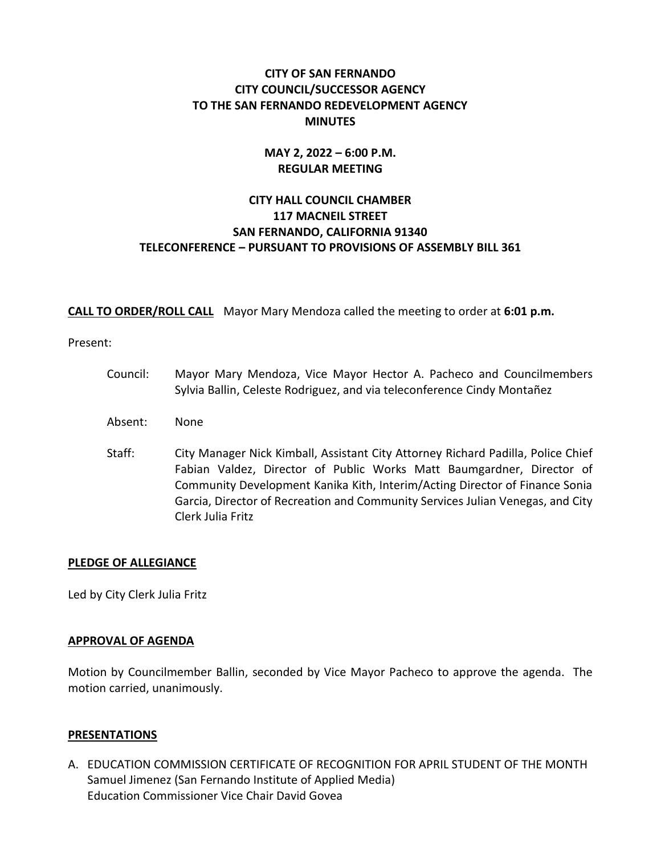# **CITY OF SAN FERNANDO CITY COUNCIL/SUCCESSOR AGENCY TO THE SAN FERNANDO REDEVELOPMENT AGENCY MINUTES**

# **MAY 2, 2022 – 6:00 P.M. REGULAR MEETING**

# **CITY HALL COUNCIL CHAMBER 117 MACNEIL STREET SAN FERNANDO, CALIFORNIA 91340 TELECONFERENCE – PURSUANT TO PROVISIONS OF ASSEMBLY BILL 361**

**CALL TO ORDER/ROLL CALL** Mayor Mary Mendoza called the meeting to order at **6:01 p.m.**

### Present:

| Council: | Mayor Mary Mendoza, Vice Mayor Hector A. Pacheco and Councilmembers     |
|----------|-------------------------------------------------------------------------|
|          | Sylvia Ballin, Celeste Rodriguez, and via teleconference Cindy Montañez |

- Absent: None
- Staff: City Manager Nick Kimball, Assistant City Attorney Richard Padilla, Police Chief Fabian Valdez, Director of Public Works Matt Baumgardner, Director of Community Development Kanika Kith, Interim/Acting Director of Finance Sonia Garcia, Director of Recreation and Community Services Julian Venegas, and City Clerk Julia Fritz

### **PLEDGE OF ALLEGIANCE**

Led by City Clerk Julia Fritz

### **APPROVAL OF AGENDA**

Motion by Councilmember Ballin, seconded by Vice Mayor Pacheco to approve the agenda. The motion carried, unanimously.

### **PRESENTATIONS**

A. EDUCATION COMMISSION CERTIFICATE OF RECOGNITION FOR APRIL STUDENT OF THE MONTH Samuel Jimenez (San Fernando Institute of Applied Media) Education Commissioner Vice Chair David Govea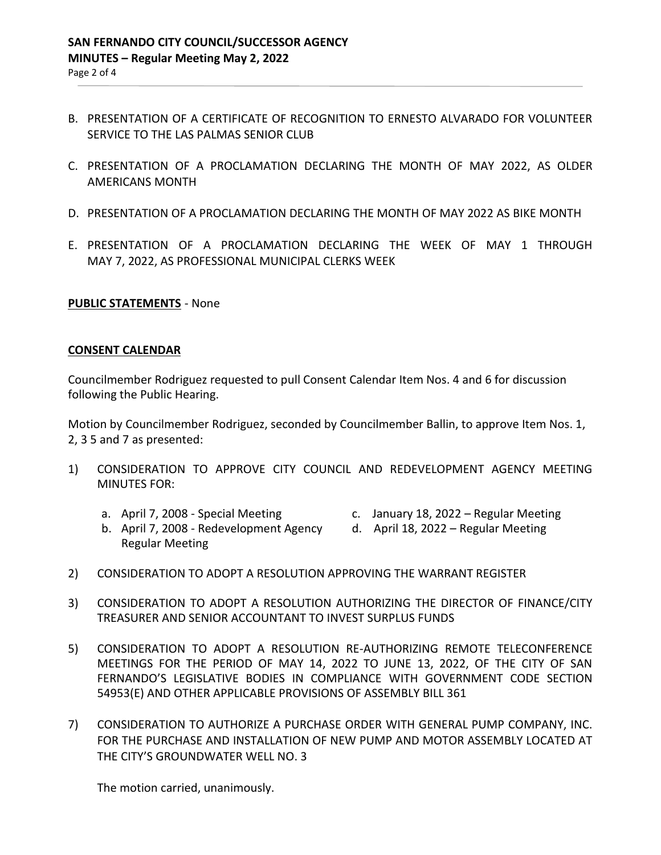- B. PRESENTATION OF A CERTIFICATE OF RECOGNITION TO ERNESTO ALVARADO FOR VOLUNTEER SERVICE TO THE LAS PALMAS SENIOR CLUB
- C. PRESENTATION OF A PROCLAMATION DECLARING THE MONTH OF MAY 2022, AS OLDER AMERICANS MONTH
- D. PRESENTATION OF A PROCLAMATION DECLARING THE MONTH OF MAY 2022 AS BIKE MONTH
- E. PRESENTATION OF A PROCLAMATION DECLARING THE WEEK OF MAY 1 THROUGH MAY 7, 2022, AS PROFESSIONAL MUNICIPAL CLERKS WEEK

#### **PUBLIC STATEMENTS** - None

#### **CONSENT CALENDAR**

Councilmember Rodriguez requested to pull Consent Calendar Item Nos. 4 and 6 for discussion following the Public Hearing.

Motion by Councilmember Rodriguez, seconded by Councilmember Ballin, to approve Item Nos. 1, 2, 3 5 and 7 as presented:

- 1) CONSIDERATION TO APPROVE CITY COUNCIL AND REDEVELOPMENT AGENCY MEETING MINUTES FOR:
	-
	- a. April 7, 2008 Special Meeting c. January 18, 2022 Regular Meeting
	- b. April 7, 2008 Redevelopment Agency d. April 18, 2022 Regular Meeting Regular Meeting
		-
- 2) CONSIDERATION TO ADOPT A RESOLUTION APPROVING THE WARRANT REGISTER
- 3) CONSIDERATION TO ADOPT A RESOLUTION AUTHORIZING THE DIRECTOR OF FINANCE/CITY TREASURER AND SENIOR ACCOUNTANT TO INVEST SURPLUS FUNDS
- 5) CONSIDERATION TO ADOPT A RESOLUTION RE-AUTHORIZING REMOTE TELECONFERENCE MEETINGS FOR THE PERIOD OF MAY 14, 2022 TO JUNE 13, 2022, OF THE CITY OF SAN FERNANDO'S LEGISLATIVE BODIES IN COMPLIANCE WITH GOVERNMENT CODE SECTION 54953(E) AND OTHER APPLICABLE PROVISIONS OF ASSEMBLY BILL 361
- 7) CONSIDERATION TO AUTHORIZE A PURCHASE ORDER WITH GENERAL PUMP COMPANY, INC. FOR THE PURCHASE AND INSTALLATION OF NEW PUMP AND MOTOR ASSEMBLY LOCATED AT THE CITY'S GROUNDWATER WELL NO. 3

The motion carried, unanimously.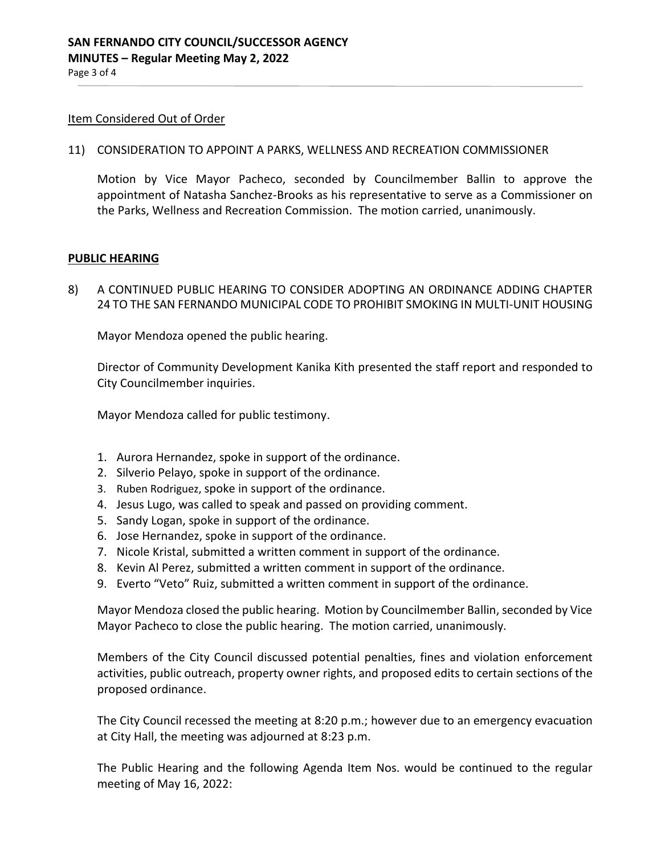#### Item Considered Out of Order

11) CONSIDERATION TO APPOINT A PARKS, WELLNESS AND RECREATION COMMISSIONER

Motion by Vice Mayor Pacheco, seconded by Councilmember Ballin to approve the appointment of Natasha Sanchez-Brooks as his representative to serve as a Commissioner on the Parks, Wellness and Recreation Commission. The motion carried, unanimously.

#### **PUBLIC HEARING**

8) A CONTINUED PUBLIC HEARING TO CONSIDER ADOPTING AN ORDINANCE ADDING CHAPTER 24 TO THE SAN FERNANDO MUNICIPAL CODE TO PROHIBIT SMOKING IN MULTI-UNIT HOUSING

Mayor Mendoza opened the public hearing.

Director of Community Development Kanika Kith presented the staff report and responded to City Councilmember inquiries.

Mayor Mendoza called for public testimony.

- 1. Aurora Hernandez, spoke in support of the ordinance.
- 2. Silverio Pelayo, spoke in support of the ordinance.
- 3. Ruben Rodriguez, spoke in support of the ordinance.
- 4. Jesus Lugo, was called to speak and passed on providing comment.
- 5. Sandy Logan, spoke in support of the ordinance.
- 6. Jose Hernandez, spoke in support of the ordinance.
- 7. Nicole Kristal, submitted a written comment in support of the ordinance.
- 8. Kevin Al Perez, submitted a written comment in support of the ordinance.
- 9. Everto "Veto" Ruiz, submitted a written comment in support of the ordinance.

Mayor Mendoza closed the public hearing. Motion by Councilmember Ballin, seconded by Vice Mayor Pacheco to close the public hearing. The motion carried, unanimously.

Members of the City Council discussed potential penalties, fines and violation enforcement activities, public outreach, property owner rights, and proposed edits to certain sections of the proposed ordinance.

The City Council recessed the meeting at 8:20 p.m.; however due to an emergency evacuation at City Hall, the meeting was adjourned at 8:23 p.m.

The Public Hearing and the following Agenda Item Nos. would be continued to the regular meeting of May 16, 2022: